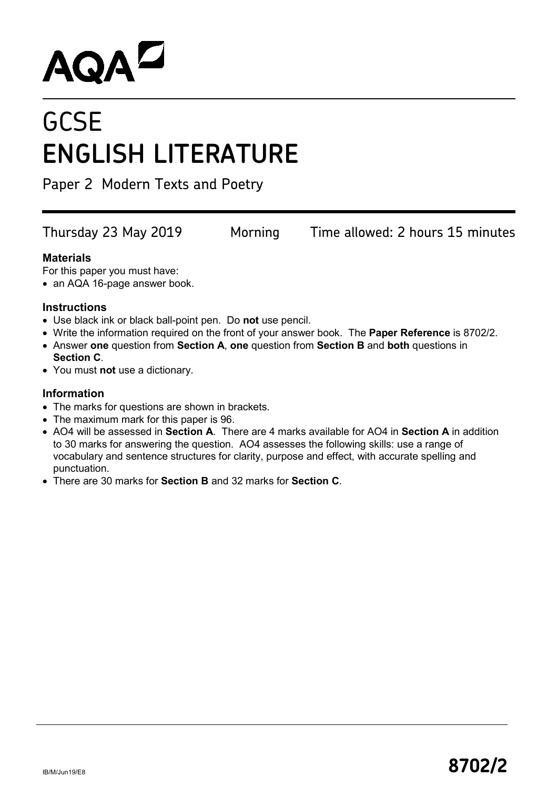# **AQAL**

## **GCSE ENGLISH LITERATURE**

Paper 2 Modern Texts and Poetry

Thursday 23 May 2019 Morning Time allowed: 2 hours 15 minutes

#### **Materials**

For this paper you must have:

• an AQA 16-page answer book.

#### **Instructions**

- Use black ink or black ball-point pen. Do **not** use pencil.
- Write the information required on the front of your answer book. The **Paper Reference** is 8702/2.
- Answer **one** question from **Section A**, **one** question from **Section B** and **both** questions in **Section C**.
- You must **not** use a dictionary.

#### **Information**

- The marks for questions are shown in brackets.
- The maximum mark for this paper is 96.
- AO4 will be assessed in **Section A**. There are 4 marks available for AO4 in **Section A** in addition to 30 marks for answering the question. AO4 assesses the following skills: use a range of vocabulary and sentence structures for clarity, purpose and effect, with accurate spelling and punctuation.
- There are 30 marks for **Section B** and 32 marks for **Section C**.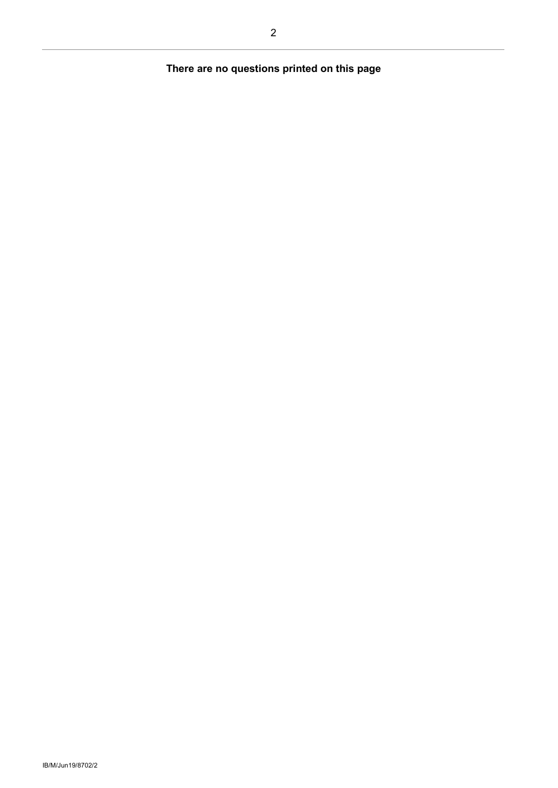### **There are no questions printed on this page**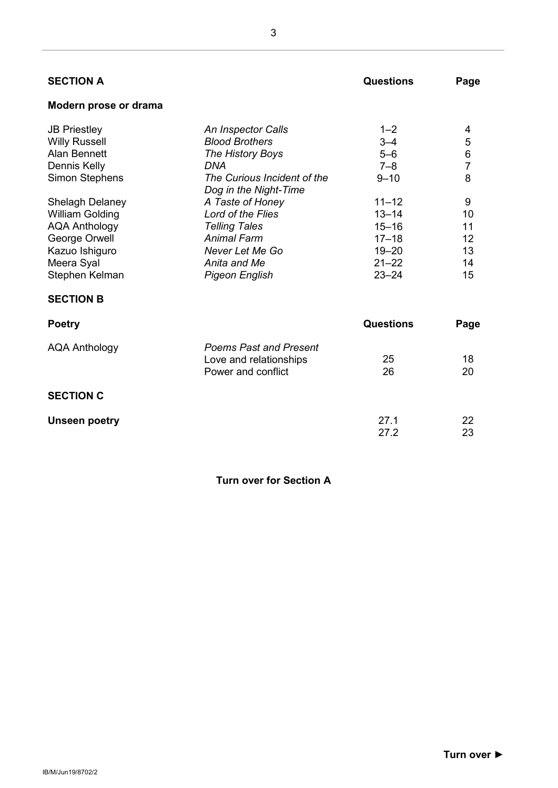| <b>SECTION A</b>       |                                                      | <b>Questions</b> | Page           |
|------------------------|------------------------------------------------------|------------------|----------------|
| Modern prose or drama  |                                                      |                  |                |
| <b>JB Priestley</b>    | An Inspector Calls                                   | $1 - 2$          | 4              |
| <b>Willy Russell</b>   | <b>Blood Brothers</b>                                | $3 - 4$          | 5              |
| <b>Alan Bennett</b>    | The History Boys                                     | $5-6$            | $\,6$          |
| Dennis Kelly           | DNA                                                  | $7 - 8$          | $\overline{7}$ |
| <b>Simon Stephens</b>  | The Curious Incident of the<br>Dog in the Night-Time | $9 - 10$         | 8              |
| <b>Shelagh Delaney</b> | A Taste of Honey                                     | $11 - 12$        | 9              |
| <b>William Golding</b> | <b>Lord of the Flies</b>                             | $13 - 14$        | 10             |
| <b>AQA Anthology</b>   | <b>Telling Tales</b>                                 | $15 - 16$        | 11             |
| George Orwell          | <b>Animal Farm</b>                                   | $17 - 18$        | 12             |
| Kazuo Ishiguro         | Never Let Me Go                                      | $19 - 20$        | 13             |
| Meera Syal             | Anita and Me                                         | $21 - 22$        | 14             |
| Stephen Kelman         | <b>Pigeon English</b>                                | $23 - 24$        | 15             |
| <b>SECTION B</b>       |                                                      |                  |                |
| <b>Poetry</b>          |                                                      | <b>Questions</b> | Page           |
| <b>AQA Anthology</b>   | <b>Poems Past and Present</b>                        |                  |                |
|                        | Love and relationships                               | 25               | 18             |
|                        | Power and conflict                                   | 26               | 20             |
| <b>SECTION C</b>       |                                                      |                  |                |
| <b>Unseen poetry</b>   |                                                      | 27.1             | 22             |
|                        |                                                      | 27.2             | 23             |
|                        |                                                      |                  |                |

**Turn over for Section A**

3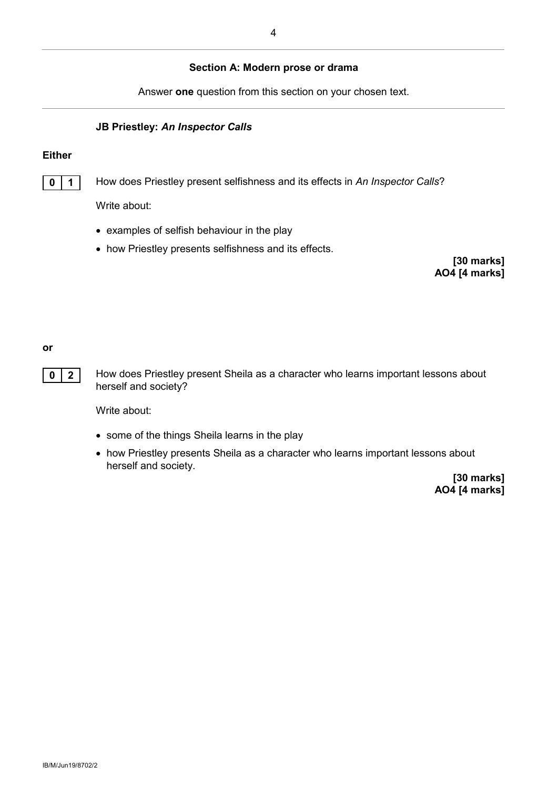#### **Section A: Modern prose or drama**

Answer **one** question from this section on your chosen text.

#### **JB Priestley:** *An Inspector Calls*

#### **Either**

**0 1** How does Priestley present selfishness and its effects in *An Inspector Calls*?

Write about:

- examples of selfish behaviour in the play
- how Priestley presents selfishness and its effects.

**[30 marks] AO4 [4 marks]**

#### **or**

**0 2** How does Priestley present Sheila as a character who learns important lessons about herself and society?

Write about:

- some of the things Sheila learns in the play
- how Priestley presents Sheila as a character who learns important lessons about herself and society.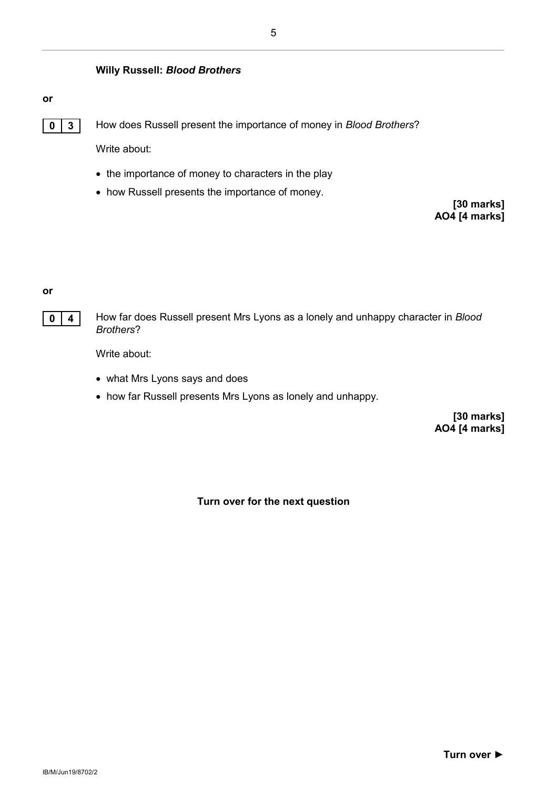#### **Willy Russell:** *Blood Brothers*

#### **or**



**0 3** How does Russell present the importance of money in *Blood Brothers*?

Write about:

- the importance of money to characters in the play
- how Russell presents the importance of money.

**[30 marks] AO4 [4 marks]**

#### **or**

**0 4** How far does Russell present Mrs Lyons as a lonely and unhappy character in *Blood Brothers*?

Write about:

- what Mrs Lyons says and does
- how far Russell presents Mrs Lyons as lonely and unhappy.

**[30 marks] AO4 [4 marks]**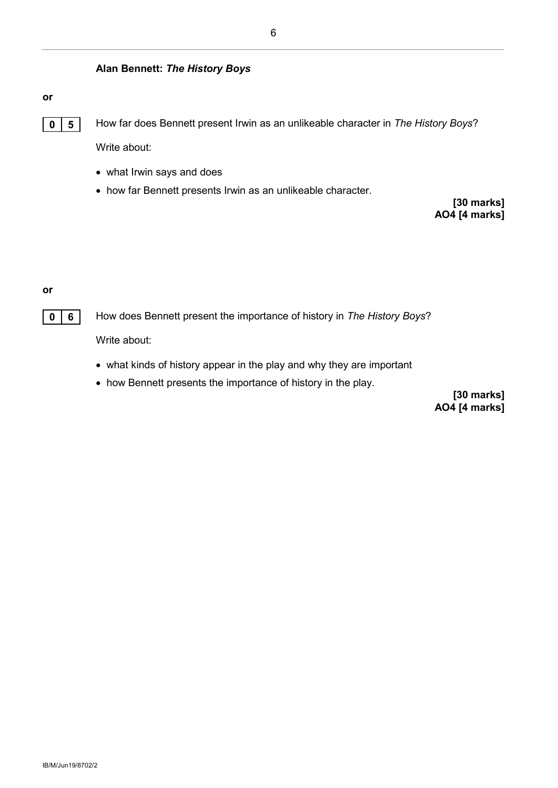#### **Alan Bennett:** *The History Boys*

#### **or**

**0 5** How far does Bennett present Irwin as an unlikeable character in *The History Boys*?

Write about:

- what Irwin says and does
- how far Bennett presents Irwin as an unlikeable character.

**[30 marks] AO4 [4 marks]**

#### **or**

**0 6** How does Bennett present the importance of history in *The History Boys*?

Write about:

- what kinds of history appear in the play and why they are important
- how Bennett presents the importance of history in the play.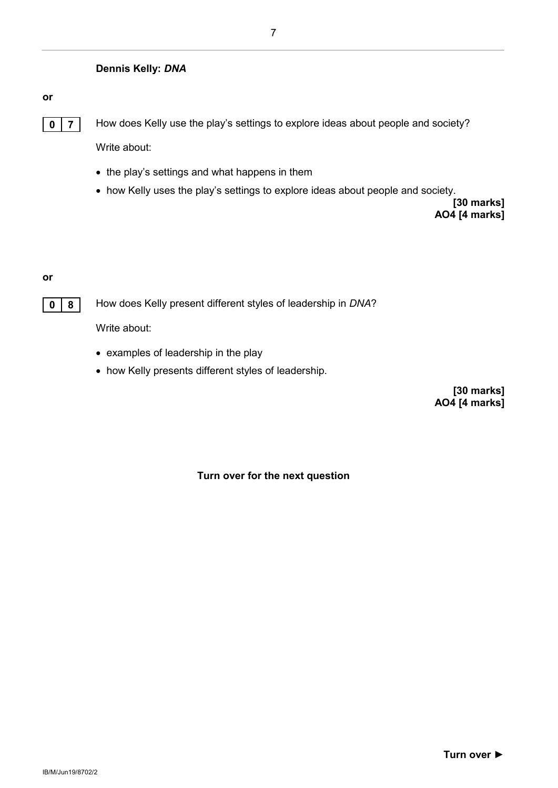#### **Dennis Kelly:** *DNA*

#### **or**



**0 7** How does Kelly use the play's settings to explore ideas about people and society?

Write about:

- the play's settings and what happens in them
- how Kelly uses the play's settings to explore ideas about people and society.

**[30 marks] AO4 [4 marks]**

#### **or**



**0 8** How does Kelly present different styles of leadership in DNA?

Write about:

- examples of leadership in the play
- how Kelly presents different styles of leadership.

**[30 marks] AO4 [4 marks]**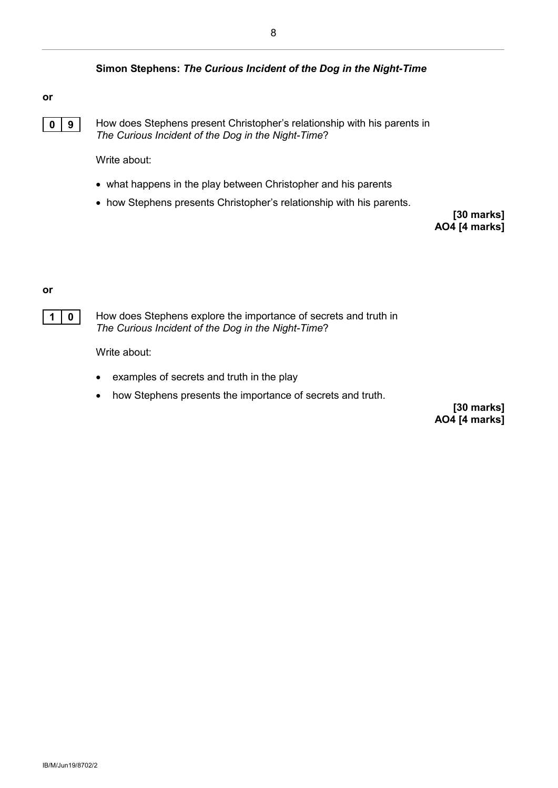#### **Simon Stephens:** *The Curious Incident of the Dog in the Night-Time*

#### **or**



**0 9** How does Stephens present Christopher's relationship with his parents in *The Curious Incident of the Dog in the Night-Time*?

Write about:

- what happens in the play between Christopher and his parents
- how Stephens presents Christopher's relationship with his parents.

**[30 marks] AO4 [4 marks]**

#### **or**

**1 0** How does Stephens explore the importance of secrets and truth in *The Curious Incident of the Dog in the Night-Time*?

Write about:

- examples of secrets and truth in the play
- how Stephens presents the importance of secrets and truth.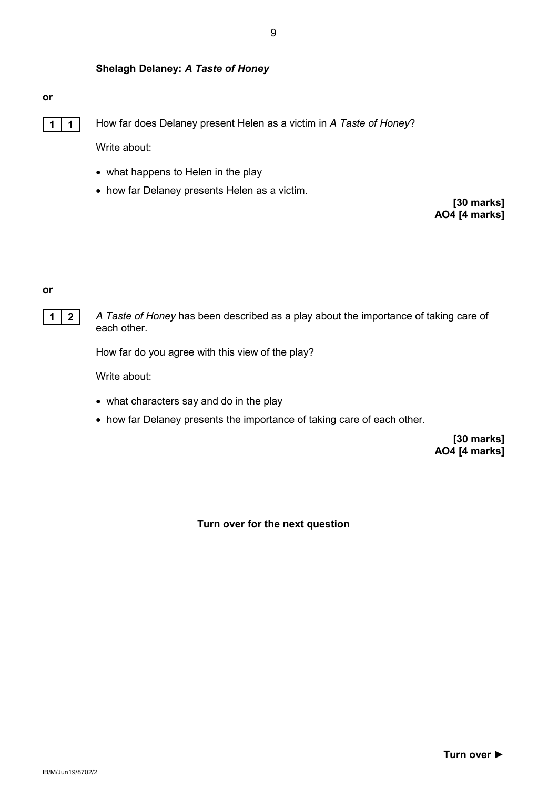#### **Shelagh Delaney:** *A Taste of Honey*

#### **or**



**1 1** How far does Delaney present Helen as a victim in *A Taste of Honey*?

Write about:

- what happens to Helen in the play
- how far Delaney presents Helen as a victim.

**[30 marks] AO4 [4 marks]**

#### **or**

**1 2** *A Taste of Honey* has been described as a play about the importance of taking care of each other.

How far do you agree with this view of the play?

Write about:

- what characters say and do in the play
- how far Delaney presents the importance of taking care of each other.

**[30 marks] AO4 [4 marks]**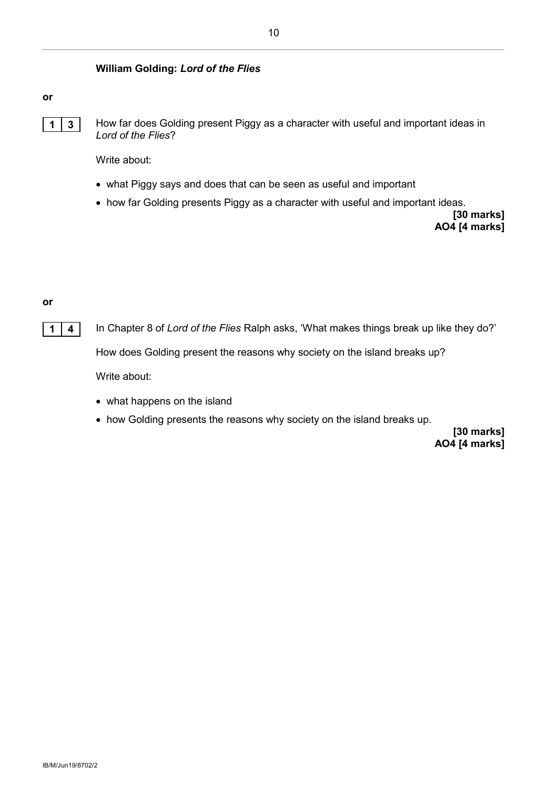#### **William Golding:** *Lord of the Flies*

#### **or**



**1** | **3** | How far does Golding present Piggy as a character with useful and important ideas in *Lord of the Flies*?

Write about:

- what Piggy says and does that can be seen as useful and important
- how far Golding presents Piggy as a character with useful and important ideas.

**[30 marks] AO4 [4 marks]**

#### **or**

**1 4** In Chapter 8 of *Lord of the Flies* Ralph asks, 'What makes things break up like they do?'

How does Golding present the reasons why society on the island breaks up?

Write about:

- what happens on the island
- how Golding presents the reasons why society on the island breaks up.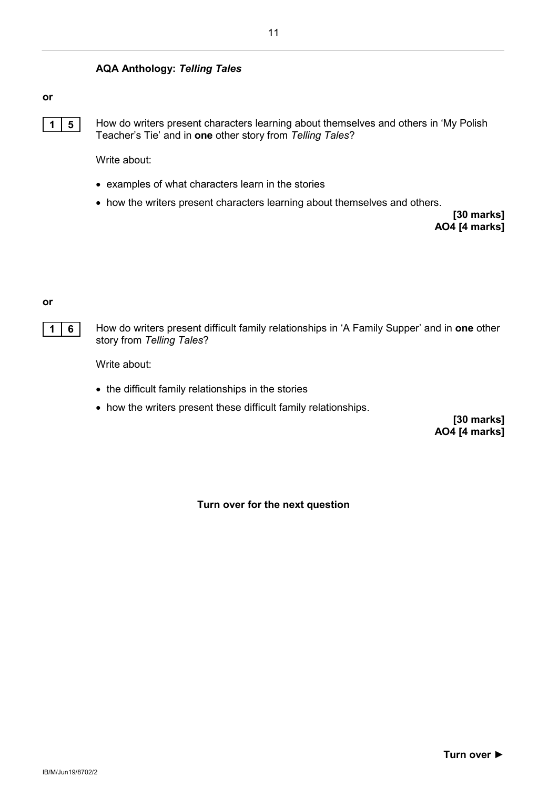#### **AQA Anthology:** *Telling Tales*

#### **or**



**1 5** How do writers present characters learning about themselves and others in 'My Polish Teacher's Tie' and in **one** other story from *Telling Tales*?

Write about:

- examples of what characters learn in the stories
- how the writers present characters learning about themselves and others.

**[30 marks] AO4 [4 marks]**

**or**

**1 6** How do writers present difficult family relationships in 'A Family Supper' and in **one** other story from *Telling Tales*?

Write about:

- the difficult family relationships in the stories
- how the writers present these difficult family relationships.

**[30 marks] AO4 [4 marks]**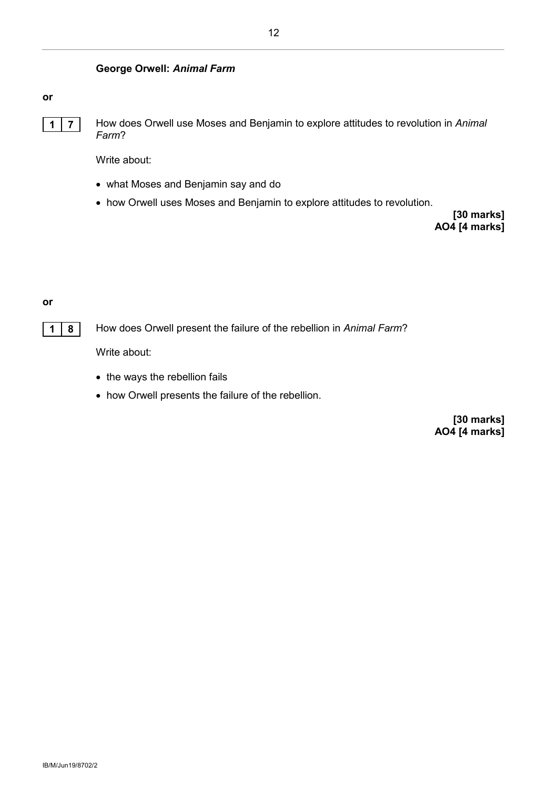#### **George Orwell:** *Animal Farm*

#### **or**

**1 7** How does Orwell use Moses and Benjamin to explore attitudes to revolution in *Animal Farm*?

Write about:

- what Moses and Benjamin say and do
- how Orwell uses Moses and Benjamin to explore attitudes to revolution.

**[30 marks] AO4 [4 marks]**

#### **or**

**1 8** How does Orwell present the failure of the rebellion in *Animal Farm*?

Write about:

- the ways the rebellion fails
- how Orwell presents the failure of the rebellion.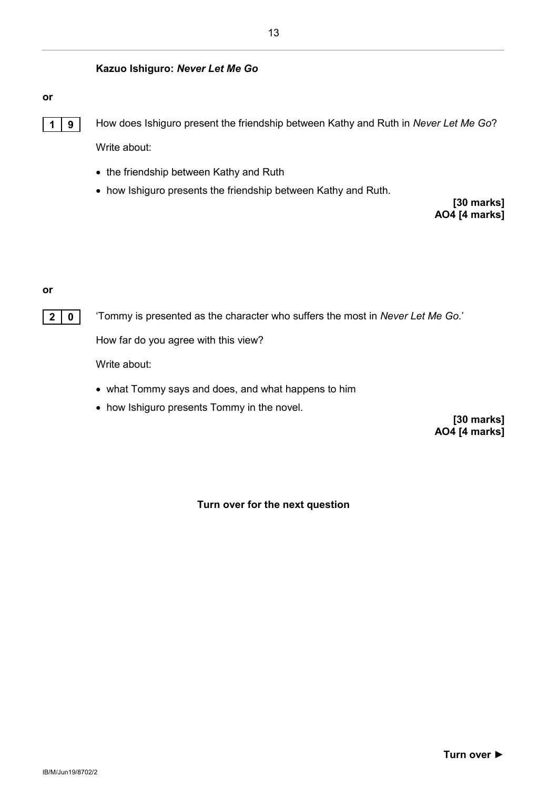#### **Kazuo Ishiguro:** *Never Let Me Go*

#### **or**



**1 9** How does Ishiguro present the friendship between Kathy and Ruth in *Never Let Me Go*? Write about:

- the friendship between Kathy and Ruth
- how Ishiguro presents the friendship between Kathy and Ruth.

**[30 marks] AO4 [4 marks]**

#### **or**

**2 0** 'Tommy is presented as the character who suffers the most in *Never Let Me Go.*'

How far do you agree with this view?

Write about:

- what Tommy says and does, and what happens to him
- how Ishiguro presents Tommy in the novel.

**[30 marks] AO4 [4 marks]**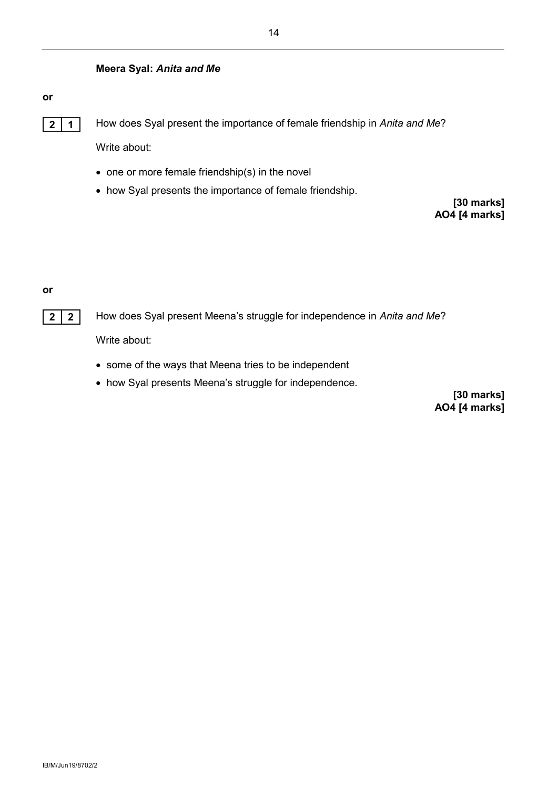#### **Meera Syal:** *Anita and Me*

#### **or**

**2 1** How does Syal present the importance of female friendship in *Anita and Me*?

Write about:

- one or more female friendship(s) in the novel
- how Syal presents the importance of female friendship.

**[30 marks] AO4 [4 marks]**

#### **or**

**2 2** How does Syal present Meena's struggle for independence in *Anita and Me*?

Write about:

- some of the ways that Meena tries to be independent
- how Syal presents Meena's struggle for independence.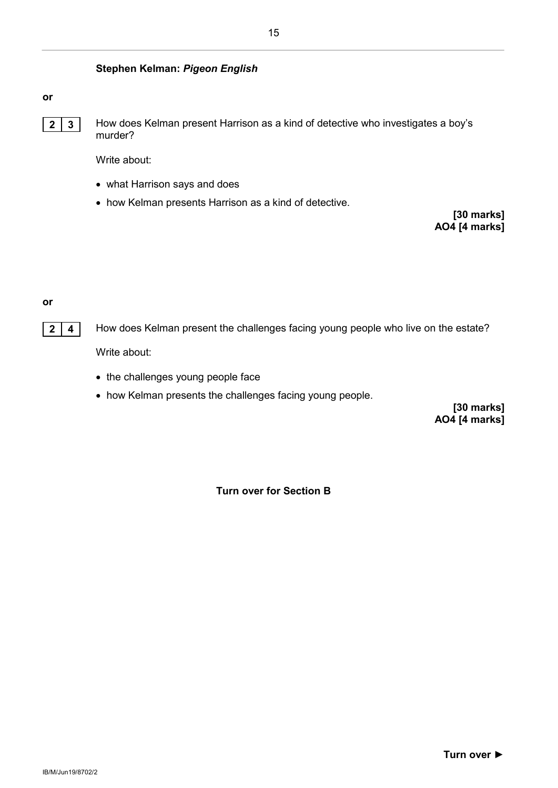#### **Stephen Kelman:** *Pigeon English*

#### **or**

**2 3** How does Kelman present Harrison as a kind of detective who investigates a boy's murder?

Write about:

- what Harrison says and does
- how Kelman presents Harrison as a kind of detective.

**[30 marks] AO4 [4 marks]**

#### **or**



**2 4** How does Kelman present the challenges facing young people who live on the estate?

Write about:

- the challenges young people face
- how Kelman presents the challenges facing young people.

**[30 marks] AO4 [4 marks]**

**Turn over for Section B**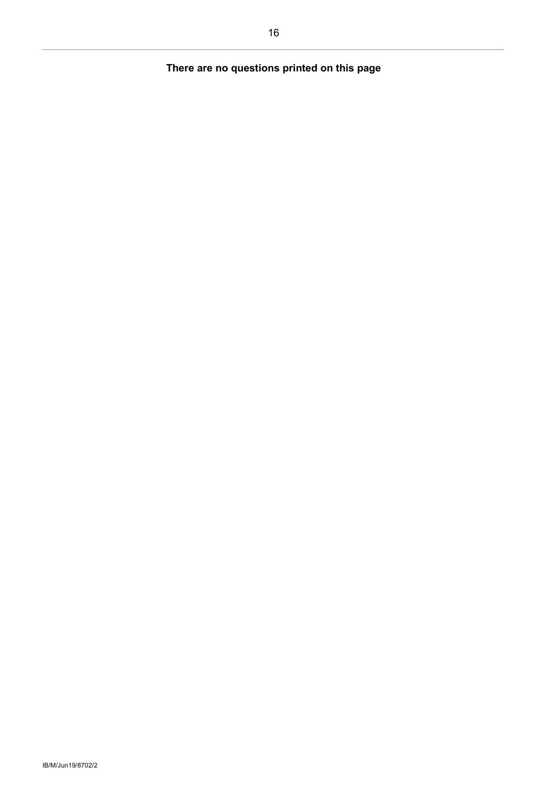#### **There are no questions printed on this page**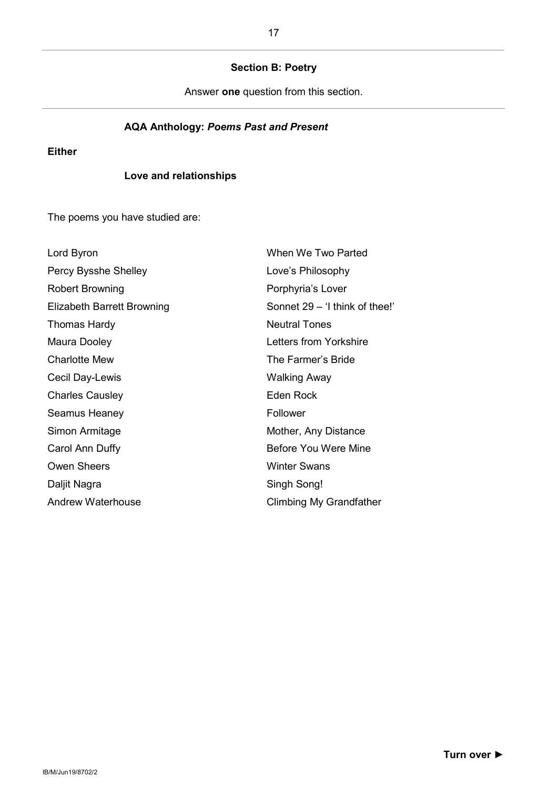#### **Section B: Poetry**

Answer **one** question from this section.

#### **AQA Anthology:** *Poems Past and Present*

**Either**

#### **Love and relationships**

The poems you have studied are:

| Lord Byron                 | When We Two Parted             |
|----------------------------|--------------------------------|
| Percy Bysshe Shelley       | Love's Philosophy              |
| Robert Browning            | Porphyria's Lover              |
| Elizabeth Barrett Browning | Sonnet 29 - 'I think of thee!' |
| Thomas Hardy               | <b>Neutral Tones</b>           |
| Maura Dooley               | Letters from Yorkshire         |
| <b>Charlotte Mew</b>       | The Farmer's Bride             |
| Cecil Day-Lewis            | Walking Away                   |
| <b>Charles Causley</b>     | Eden Rock                      |
| Seamus Heaney              | Follower                       |
| Simon Armitage             | Mother, Any Distance           |
| Carol Ann Duffy            | Before You Were Mine           |
| <b>Owen Sheers</b>         | <b>Winter Swans</b>            |
| Daljit Nagra               | Singh Song!                    |
| Andrew Waterhouse          | Climbing My Grandfather        |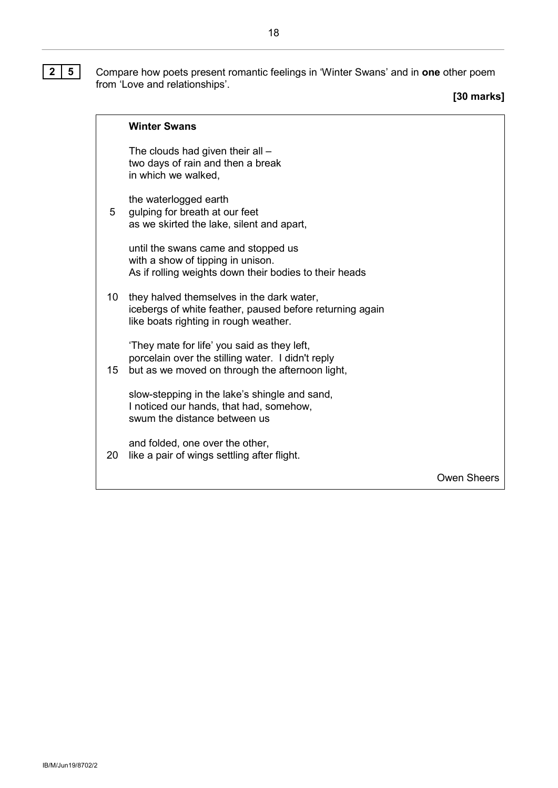**2 5** Compare how poets present romantic feelings in 'Winter Swans' and in **one** other poem from 'Love and relationships'.

**[30 marks]**

|   | <b>Winter Swans</b>                                                                                  |
|---|------------------------------------------------------------------------------------------------------|
|   | The clouds had given their all –<br>two days of rain and then a break<br>in which we walked,         |
| 5 | the waterlogged earth<br>gulping for breath at our feet<br>as we skirted the lake, silent and apart, |
|   | until the swans came and stopped us<br>with a about of time in union                                 |

with a show of tipping in unison. As if rolling weights down their bodies to their heads

10 they halved themselves in the dark water, icebergs of white feather, paused before returning again like boats righting in rough weather.

'They mate for life' you said as they left, porcelain over the stilling water. I didn't reply

15 but as we moved on through the afternoon light,

slow-stepping in the lake's shingle and sand, I noticed our hands, that had, somehow, swum the distance between us

20 like a pair of wings settling after flight. and folded, one over the other,

Owen Sheers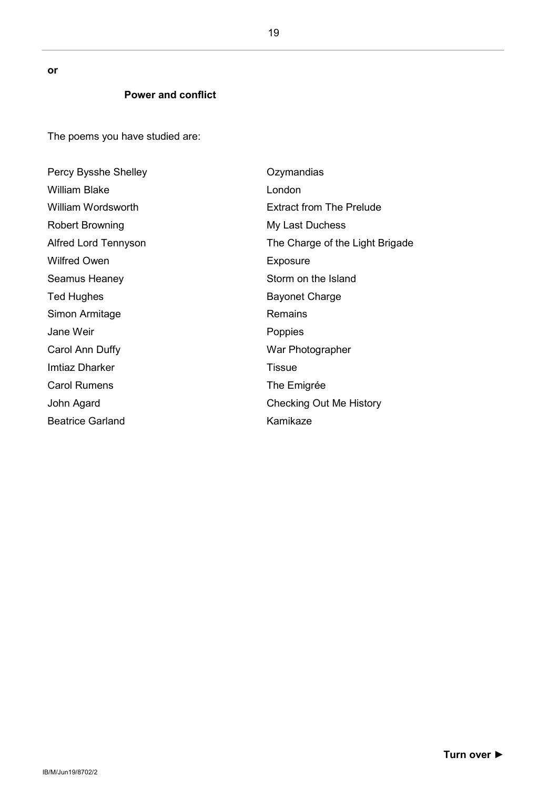**or**

#### **Power and conflict**

The poems you have studied are:

| Percy Bysshe Shelley      | Ozymandias                      |
|---------------------------|---------------------------------|
| <b>William Blake</b>      | London                          |
| <b>William Wordsworth</b> | <b>Extract from The Prelude</b> |
| Robert Browning           | My Last Duchess                 |
| Alfred Lord Tennyson      | The Charge of the Light Brigade |
| <b>Wilfred Owen</b>       | Exposure                        |
| Seamus Heaney             | Storm on the Island             |
| <b>Ted Hughes</b>         | <b>Bayonet Charge</b>           |
| Simon Armitage            | Remains                         |
| Jane Weir                 | Poppies                         |
| Carol Ann Duffy           | War Photographer                |
| <b>Imtiaz Dharker</b>     | <b>Tissue</b>                   |
| <b>Carol Rumens</b>       | The Emigrée                     |
| John Agard                | Checking Out Me History         |
| <b>Beatrice Garland</b>   | Kamikaze                        |

19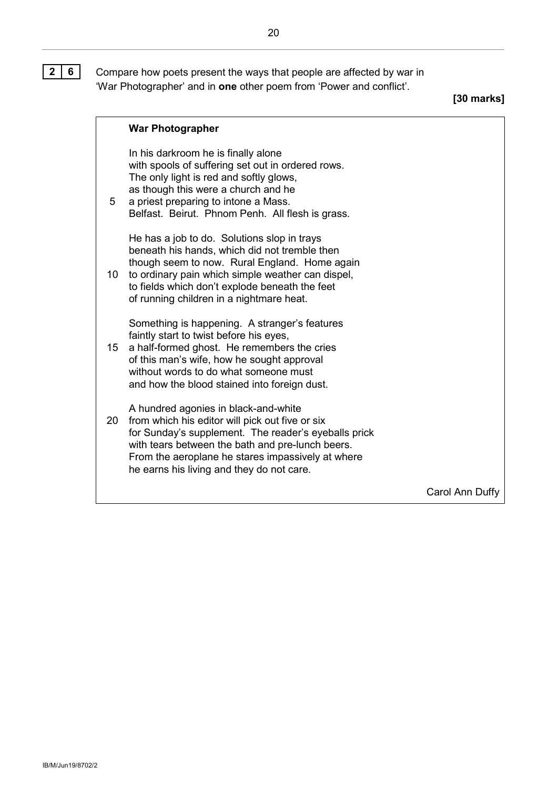**2 6** Compare how poets present the ways that people are affected by war in 'War Photographer' and in **one** other poem from 'Power and conflict'.

**[30 marks]**

|    | <b>War Photographer</b>                                                                                                                                                                                                                                                                               |                 |
|----|-------------------------------------------------------------------------------------------------------------------------------------------------------------------------------------------------------------------------------------------------------------------------------------------------------|-----------------|
| 5  | In his darkroom he is finally alone<br>with spools of suffering set out in ordered rows.<br>The only light is red and softly glows,<br>as though this were a church and he<br>a priest preparing to intone a Mass.<br>Belfast. Beirut. Phnom Penh. All flesh is grass.                                |                 |
| 10 | He has a job to do. Solutions slop in trays<br>beneath his hands, which did not tremble then<br>though seem to now. Rural England. Home again<br>to ordinary pain which simple weather can dispel,<br>to fields which don't explode beneath the feet<br>of running children in a nightmare heat.      |                 |
| 15 | Something is happening. A stranger's features<br>faintly start to twist before his eyes,<br>a half-formed ghost. He remembers the cries<br>of this man's wife, how he sought approval<br>without words to do what someone must<br>and how the blood stained into foreign dust.                        |                 |
| 20 | A hundred agonies in black-and-white<br>from which his editor will pick out five or six<br>for Sunday's supplement. The reader's eyeballs prick<br>with tears between the bath and pre-lunch beers.<br>From the aeroplane he stares impassively at where<br>he earns his living and they do not care. |                 |
|    |                                                                                                                                                                                                                                                                                                       | Carol Ann Duffy |

20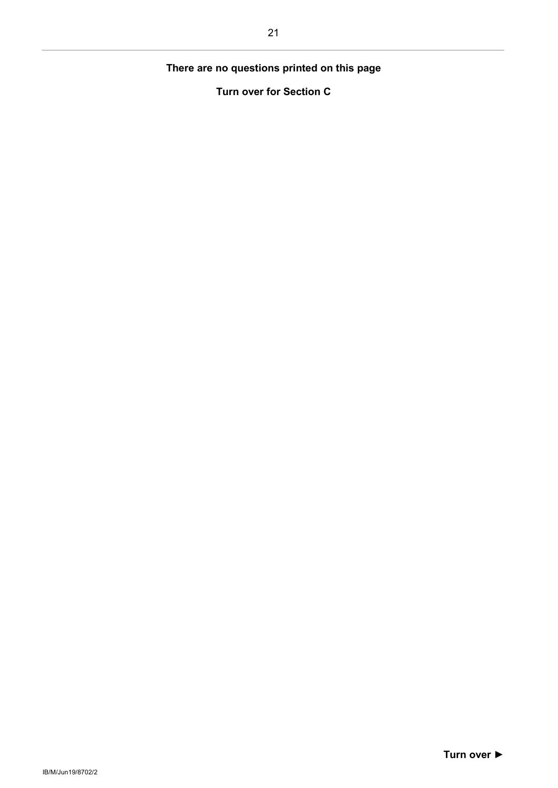#### **There are no questions printed on this page**

**Turn over for Section C**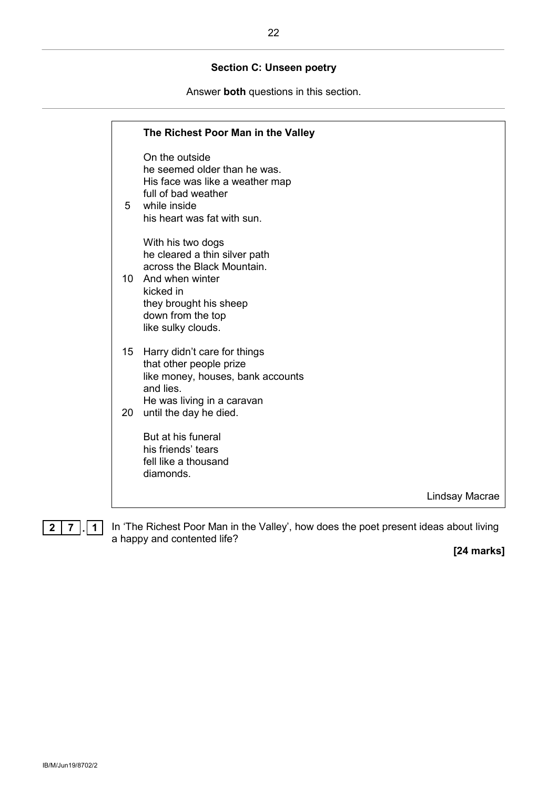#### **Section C: Unseen poetry**

Answer **both** questions in this section.

|                       | The Richest Poor Man in the Valley                                                                                                                                                    |                |
|-----------------------|---------------------------------------------------------------------------------------------------------------------------------------------------------------------------------------|----------------|
| 5                     | On the outside<br>he seemed older than he was.<br>His face was like a weather map<br>full of bad weather<br>while inside<br>his heart was fat with sun.                               |                |
| 10                    | With his two dogs<br>he cleared a thin silver path<br>across the Black Mountain.<br>And when winter<br>kicked in<br>they brought his sheep<br>down from the top<br>like sulky clouds. |                |
| 15 <sub>1</sub><br>20 | Harry didn't care for things<br>that other people prize<br>like money, houses, bank accounts<br>and lies.<br>He was living in a caravan<br>until the day he died.                     |                |
|                       | But at his funeral<br>his friends' tears<br>fell like a thousand<br>diamonds.                                                                                                         |                |
|                       |                                                                                                                                                                                       | Lindsay Macrae |
|                       |                                                                                                                                                                                       |                |

**2 7 . 1** In 'The Richest Poor Man in the Valley', how does the poet present ideas about living a happy and contented life?

**[24 marks]**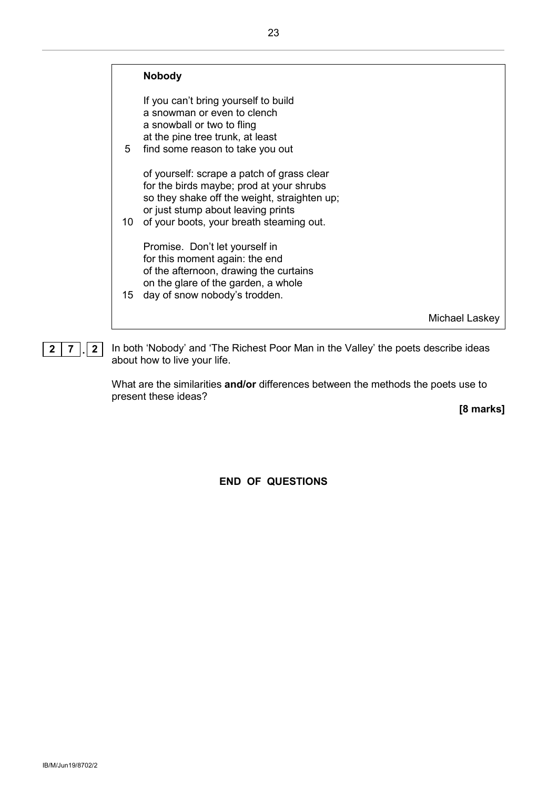|    | <b>Nobody</b>                                                                                                                                                                                                            |                |
|----|--------------------------------------------------------------------------------------------------------------------------------------------------------------------------------------------------------------------------|----------------|
| 5  | If you can't bring yourself to build<br>a snowman or even to clench<br>a snowball or two to fling<br>at the pine tree trunk, at least<br>find some reason to take you out                                                |                |
| 10 | of yourself: scrape a patch of grass clear<br>for the birds maybe; prod at your shrubs<br>so they shake off the weight, straighten up;<br>or just stump about leaving prints<br>of your boots, your breath steaming out. |                |
| 15 | Promise. Don't let yourself in<br>for this moment again: the end<br>of the afternoon, drawing the curtains<br>on the glare of the garden, a whole<br>day of snow nobody's trodden.                                       |                |
|    |                                                                                                                                                                                                                          | Michael Laskey |



**2 7 . 2** In both 'Nobody' and 'The Richest Poor Man in the Valley' the poets describe ideas about how to live your life.

> What are the similarities **and/or** differences between the methods the poets use to present these ideas?

**[8 marks]**

**END OF QUESTIONS**